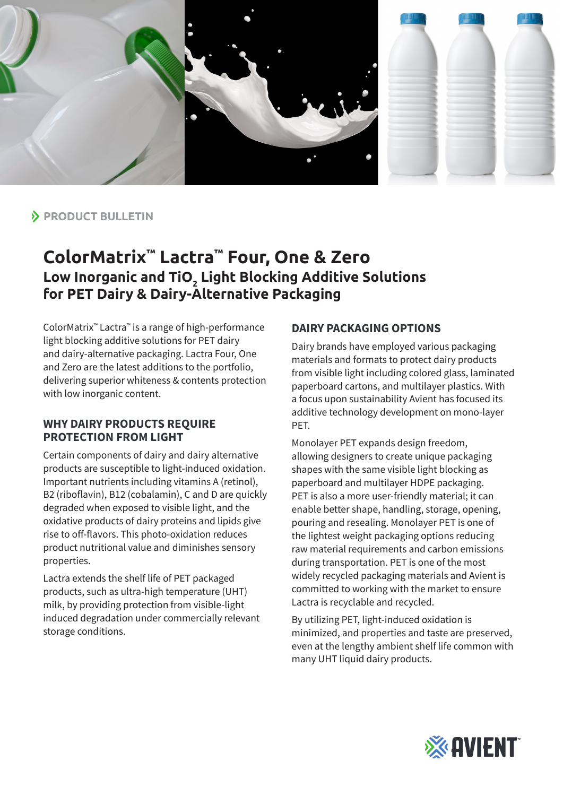

# **PRODUCT BULLETIN**

# **ColorMatrix™ Lactra™ Four, One & Zero Low Inorganic and TiO2 Light Blocking Additive Solutions for PET Dairy & Dairy-Alternative Packaging**

ColorMatrix™ Lactra™ is a range of high-performance light blocking additive solutions for PET dairy and dairy-alternative packaging. Lactra Four, One and Zero are the latest additions to the portfolio, delivering superior whiteness & contents protection with low inorganic content.

#### **WHY DAIRY PRODUCTS REQUIRE PROTECTION FROM LIGHT**

Certain components of dairy and dairy alternative products are susceptible to light-induced oxidation. Important nutrients including vitamins A (retinol), B2 (riboflavin), B12 (cobalamin), C and D are quickly degraded when exposed to visible light, and the oxidative products of dairy proteins and lipids give rise to off-flavors. This photo-oxidation reduces product nutritional value and diminishes sensory properties.

Lactra extends the shelf life of PET packaged products, such as ultra-high temperature (UHT) milk, by providing protection from visible-light induced degradation under commercially relevant storage conditions.

#### **DAIRY PACKAGING OPTIONS**

Dairy brands have employed various packaging materials and formats to protect dairy products from visible light including colored glass, laminated paperboard cartons, and multilayer plastics. With a focus upon sustainability Avient has focused its additive technology development on mono-layer PET.

Monolayer PET expands design freedom, allowing designers to create unique packaging shapes with the same visible light blocking as paperboard and multilayer HDPE packaging. PET is also a more user-friendly material; it can enable better shape, handling, storage, opening, pouring and resealing. Monolayer PET is one of the lightest weight packaging options reducing raw material requirements and carbon emissions during transportation. PET is one of the most widely recycled packaging materials and Avient is committed to working with the market to ensure Lactra is recyclable and recycled.

By utilizing PET, light-induced oxidation is minimized, and properties and taste are preserved, even at the lengthy ambient shelf life common with many UHT liquid dairy products.